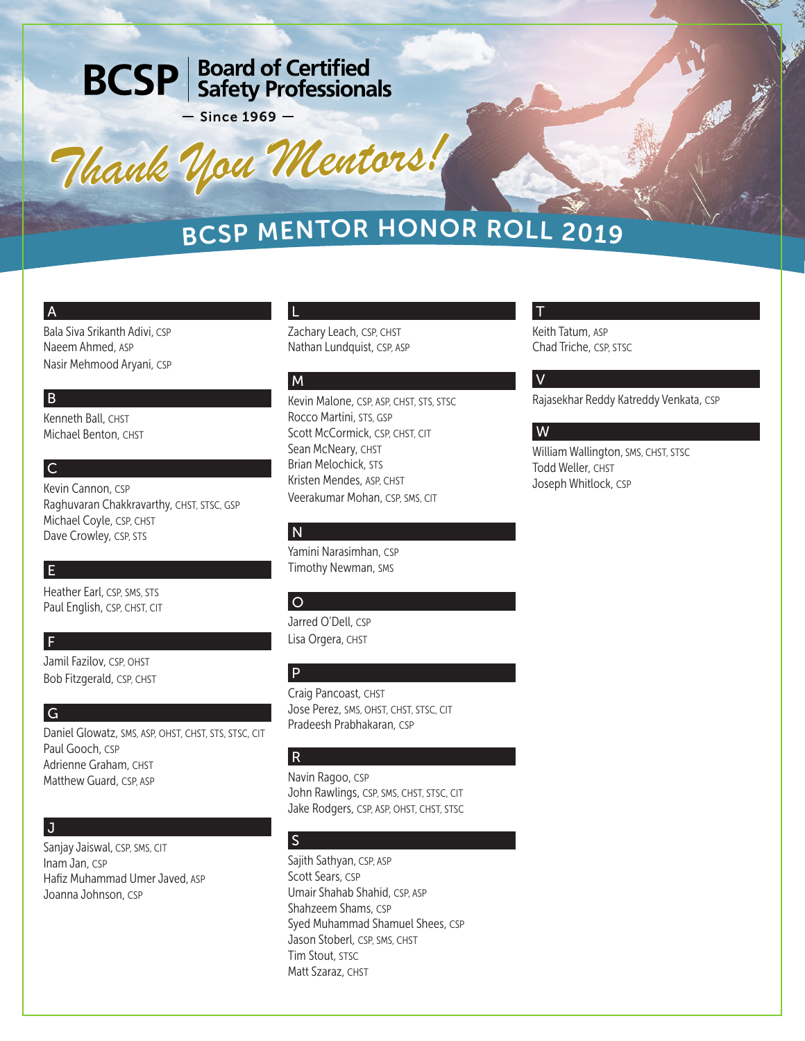$-$  Since 1969  $-$ 

**BCSP** | Board of Certified

*Thank You Mentors! Thank You Mentors!*

# <sup>B</sup>CS<sup>P</sup> <sup>M</sup>ENTO<sup>R</sup> <sup>H</sup>ONO<sup>R</sup> <sup>R</sup>OL<sup>L</sup> <sup>2</sup>019

# A

Bala Siva Srikanth Adivi, CSP Naeem Ahmed, ASP Nasir Mehmood Aryani, CSP

# B

Kenneth Ball, CHST Michael Benton, CHST

# C

Kevin Cannon, CSP Raghuvaran Chakkravarthy, CHST, STSC, GSP Michael Coyle, CSP, CHST Dave Crowley, CSP, STS

# E

Heather Earl, CSP, SMS, STS Paul English, CSP, CHST, CIT

# F

Jamil Fazilov, CSP, OHST Bob Fitzgerald, CSP, CHST

# l G

Daniel Glowatz, SMS, ASP, OHST, CHST, STS, STSC, CIT Paul Gooch, CSP Adrienne Graham, CHST Matthew Guard, CSP, ASP

# J

Sanjay Jaiswal, CSP, SMS, CIT Inam Jan, CSP Hafiz Muhammad Umer Javed, ASP Joanna Johnson, CSP

Zachary Leach, CSP, CHST Nathan Lundquist, CSP, ASP

# M

L

Kevin Malone, CSP, ASP, CHST, STS, STSC Rocco Martini, STS, GSP Scott McCormick, CSP, CHST, CIT Sean McNeary, CHST Brian Melochick, STS Kristen Mendes, ASP, CHST Veerakumar Mohan, CSP, SMS, CIT

# N

Yamini Narasimhan, CSP Timothy Newman, SMS

# O

Jarred O'Dell, CSP Lisa Orgera, CHST

# P

Craig Pancoast, CHST Jose Perez, SMS, OHST, CHST, STSC, CIT Pradeesh Prabhakaran, CSP

# R

Navin Ragoo, CSP John Rawlings, CSP, SMS, CHST, STSC, CIT Jake Rodgers, CSP, ASP, OHST, CHST, STSC

# S

Sajith Sathyan, CSP, ASP Scott Sears, CSP Umair Shahab Shahid, CSP, ASP Shahzeem Shams, CSP Syed Muhammad Shamuel Shees, CSP Jason Stoberl, CSP, SMS, CHST Tim Stout, STSC Matt Szaraz, CHST

# T

Keith Tatum, ASP Chad Triche, CSP, STSC

# V

Rajasekhar Reddy Katreddy Venkata, CSP

# W

William Wallington, SMS, CHST, STSC Todd Weller, CHST Joseph Whitlock, CSP